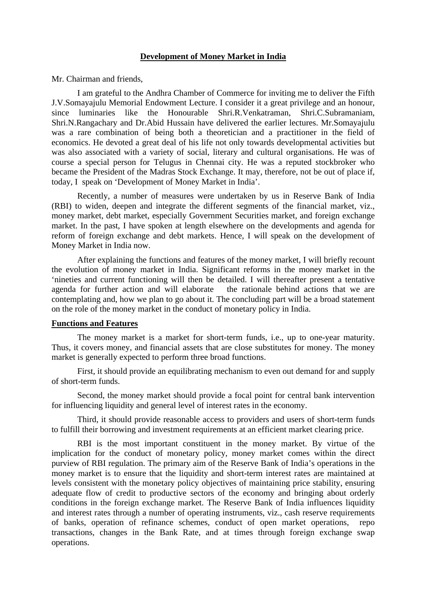### **Development of Money Market in India**

Mr. Chairman and friends,

I am grateful to the Andhra Chamber of Commerce for inviting me to deliver the Fifth J.V.Somayajulu Memorial Endowment Lecture. I consider it a great privilege and an honour, since luminaries like the Honourable Shri.R.Venkatraman, Shri.C.Subramaniam, Shri.N.Rangachary and Dr.Abid Hussain have delivered the earlier lectures. Mr.Somayajulu was a rare combination of being both a theoretician and a practitioner in the field of economics. He devoted a great deal of his life not only towards developmental activities but was also associated with a variety of social, literary and cultural organisations. He was of course a special person for Telugus in Chennai city. He was a reputed stockbroker who became the President of the Madras Stock Exchange. It may, therefore, not be out of place if, today, I speak on 'Development of Money Market in India'.

Recently, a number of measures were undertaken by us in Reserve Bank of India (RBI) to widen, deepen and integrate the different segments of the financial market, viz., money market, debt market, especially Government Securities market, and foreign exchange market. In the past, I have spoken at length elsewhere on the developments and agenda for reform of foreign exchange and debt markets. Hence, I will speak on the development of Money Market in India now.

After explaining the functions and features of the money market, I will briefly recount the evolution of money market in India. Significant reforms in the money market in the 'nineties and current functioning will then be detailed. I will thereafter present a tentative agenda for further action and will elaborate the rationale behind actions that we are contemplating and, how we plan to go about it. The concluding part will be a broad statement on the role of the money market in the conduct of monetary policy in India.

## **Functions and Features**

The money market is a market for short-term funds, i.e., up to one-year maturity. Thus, it covers money, and financial assets that are close substitutes for money. The money market is generally expected to perform three broad functions.

First, it should provide an equilibrating mechanism to even out demand for and supply of short-term funds.

Second, the money market should provide a focal point for central bank intervention for influencing liquidity and general level of interest rates in the economy.

Third, it should provide reasonable access to providers and users of short-term funds to fulfill their borrowing and investment requirements at an efficient market clearing price.

RBI is the most important constituent in the money market. By virtue of the implication for the conduct of monetary policy, money market comes within the direct purview of RBI regulation. The primary aim of the Reserve Bank of India's operations in the money market is to ensure that the liquidity and short-term interest rates are maintained at levels consistent with the monetary policy objectives of maintaining price stability, ensuring adequate flow of credit to productive sectors of the economy and bringing about orderly conditions in the foreign exchange market. The Reserve Bank of India influences liquidity and interest rates through a number of operating instruments, viz., cash reserve requirements of banks, operation of refinance schemes, conduct of open market operations, repo transactions, changes in the Bank Rate, and at times through foreign exchange swap operations.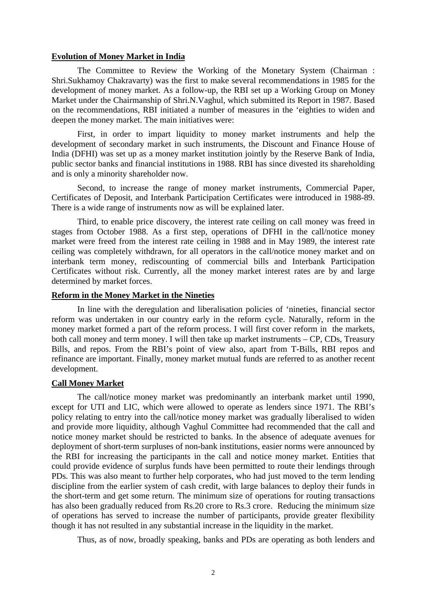#### **Evolution of Money Market in India**

The Committee to Review the Working of the Monetary System (Chairman : Shri.Sukhamoy Chakravarty) was the first to make several recommendations in 1985 for the development of money market. As a follow-up, the RBI set up a Working Group on Money Market under the Chairmanship of Shri.N.Vaghul, which submitted its Report in 1987. Based on the recommendations, RBI initiated a number of measures in the 'eighties to widen and deepen the money market. The main initiatives were:

First, in order to impart liquidity to money market instruments and help the development of secondary market in such instruments, the Discount and Finance House of India (DFHI) was set up as a money market institution jointly by the Reserve Bank of India, public sector banks and financial institutions in 1988. RBI has since divested its shareholding and is only a minority shareholder now.

Second, to increase the range of money market instruments, Commercial Paper, Certificates of Deposit, and Interbank Participation Certificates were introduced in 1988-89. There is a wide range of instruments now as will be explained later.

Third, to enable price discovery, the interest rate ceiling on call money was freed in stages from October 1988. As a first step, operations of DFHI in the call/notice money market were freed from the interest rate ceiling in 1988 and in May 1989, the interest rate ceiling was completely withdrawn, for all operators in the call/notice money market and on interbank term money, rediscounting of commercial bills and Interbank Participation Certificates without risk. Currently, all the money market interest rates are by and large determined by market forces.

#### **Reform in the Money Market in the Nineties**

In line with the deregulation and liberalisation policies of 'nineties, financial sector reform was undertaken in our country early in the reform cycle. Naturally, reform in the money market formed a part of the reform process. I will first cover reform in the markets, both call money and term money. I will then take up market instruments – CP, CDs, Treasury Bills, and repos. From the RBI's point of view also, apart from T-Bills, RBI repos and refinance are important. Finally, money market mutual funds are referred to as another recent development.

### **Call Money Market**

The call/notice money market was predominantly an interbank market until 1990, except for UTI and LIC, which were allowed to operate as lenders since 1971. The RBI's policy relating to entry into the call/notice money market was gradually liberalised to widen and provide more liquidity, although Vaghul Committee had recommended that the call and notice money market should be restricted to banks. In the absence of adequate avenues for deployment of short-term surpluses of non-bank institutions, easier norms were announced by the RBI for increasing the participants in the call and notice money market. Entities that could provide evidence of surplus funds have been permitted to route their lendings through PDs. This was also meant to further help corporates, who had just moved to the term lending discipline from the earlier system of cash credit, with large balances to deploy their funds in the short-term and get some return. The minimum size of operations for routing transactions has also been gradually reduced from Rs.20 crore to Rs.3 crore. Reducing the minimum size of operations has served to increase the number of participants, provide greater flexibility though it has not resulted in any substantial increase in the liquidity in the market.

Thus, as of now, broadly speaking, banks and PDs are operating as both lenders and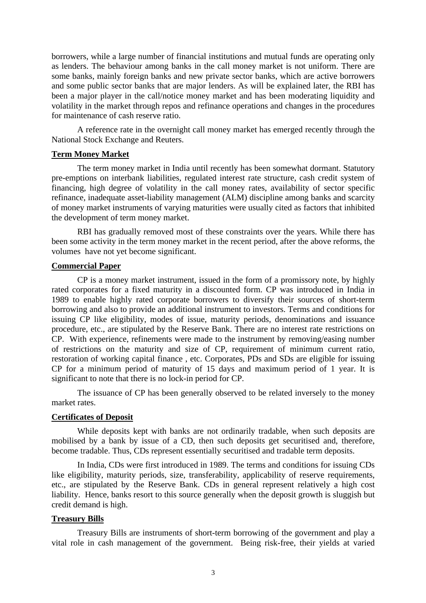borrowers, while a large number of financial institutions and mutual funds are operating only as lenders. The behaviour among banks in the call money market is not uniform. There are some banks, mainly foreign banks and new private sector banks, which are active borrowers and some public sector banks that are major lenders. As will be explained later, the RBI has been a major player in the call/notice money market and has been moderating liquidity and volatility in the market through repos and refinance operations and changes in the procedures for maintenance of cash reserve ratio.

A reference rate in the overnight call money market has emerged recently through the National Stock Exchange and Reuters.

## **Term Money Market**

The term money market in India until recently has been somewhat dormant. Statutory pre-emptions on interbank liabilities, regulated interest rate structure, cash credit system of financing, high degree of volatility in the call money rates, availability of sector specific refinance, inadequate asset-liability management (ALM) discipline among banks and scarcity of money market instruments of varying maturities were usually cited as factors that inhibited the development of term money market.

RBI has gradually removed most of these constraints over the years. While there has been some activity in the term money market in the recent period, after the above reforms, the volumes have not yet become significant.

## **Commercial Paper**

CP is a money market instrument, issued in the form of a promissory note, by highly rated corporates for a fixed maturity in a discounted form. CP was introduced in India in 1989 to enable highly rated corporate borrowers to diversify their sources of short-term borrowing and also to provide an additional instrument to investors. Terms and conditions for issuing CP like eligibility, modes of issue, maturity periods, denominations and issuance procedure, etc., are stipulated by the Reserve Bank. There are no interest rate restrictions on CP. With experience, refinements were made to the instrument by removing/easing number of restrictions on the maturity and size of CP, requirement of minimum current ratio, restoration of working capital finance , etc. Corporates, PDs and SDs are eligible for issuing CP for a minimum period of maturity of 15 days and maximum period of 1 year. It is significant to note that there is no lock-in period for CP.

The issuance of CP has been generally observed to be related inversely to the money market rates.

### **Certificates of Deposit**

While deposits kept with banks are not ordinarily tradable, when such deposits are mobilised by a bank by issue of a CD, then such deposits get securitised and, therefore, become tradable. Thus, CDs represent essentially securitised and tradable term deposits.

In India, CDs were first introduced in 1989. The terms and conditions for issuing CDs like eligibility, maturity periods, size, transferability, applicability of reserve requirements, etc., are stipulated by the Reserve Bank. CDs in general represent relatively a high cost liability. Hence, banks resort to this source generally when the deposit growth is sluggish but credit demand is high.

### **Treasury Bills**

Treasury Bills are instruments of short-term borrowing of the government and play a vital role in cash management of the government. Being risk-free, their yields at varied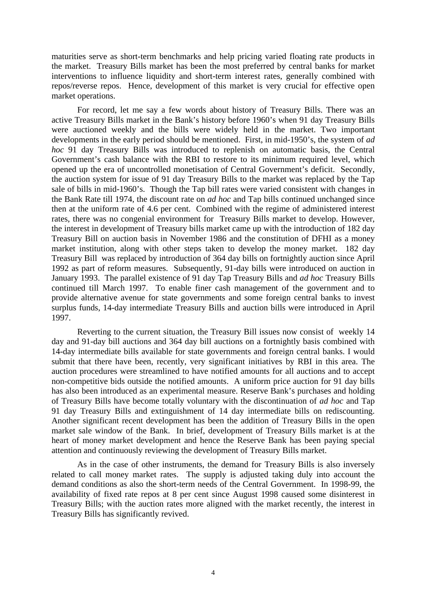maturities serve as short-term benchmarks and help pricing varied floating rate products in the market. Treasury Bills market has been the most preferred by central banks for market interventions to influence liquidity and short-term interest rates, generally combined with repos/reverse repos. Hence, development of this market is very crucial for effective open market operations.

For record, let me say a few words about history of Treasury Bills. There was an active Treasury Bills market in the Bank's history before 1960's when 91 day Treasury Bills were auctioned weekly and the bills were widely held in the market. Two important developments in the early period should be mentioned. First, in mid-1950's, the system of *ad hoc* 91 day Treasury Bills was introduced to replenish on automatic basis, the Central Government's cash balance with the RBI to restore to its minimum required level, which opened up the era of uncontrolled monetisation of Central Government's deficit. Secondly, the auction system for issue of 91 day Treasury Bills to the market was replaced by the Tap sale of bills in mid-1960's. Though the Tap bill rates were varied consistent with changes in the Bank Rate till 1974, the discount rate on *ad hoc* and Tap bills continued unchanged since then at the uniform rate of 4.6 per cent. Combined with the regime of administered interest rates, there was no congenial environment for Treasury Bills market to develop. However, the interest in development of Treasury bills market came up with the introduction of 182 day Treasury Bill on auction basis in November 1986 and the constitution of DFHI as a money market institution, along with other steps taken to develop the money market. 182 day Treasury Bill was replaced by introduction of 364 day bills on fortnightly auction since April 1992 as part of reform measures. Subsequently, 91-day bills were introduced on auction in January 1993. The parallel existence of 91 day Tap Treasury Bills and *ad hoc* Treasury Bills continued till March 1997. To enable finer cash management of the government and to provide alternative avenue for state governments and some foreign central banks to invest surplus funds, 14-day intermediate Treasury Bills and auction bills were introduced in April 1997.

Reverting to the current situation, the Treasury Bill issues now consist of weekly 14 day and 91-day bill auctions and 364 day bill auctions on a fortnightly basis combined with 14-day intermediate bills available for state governments and foreign central banks. I would submit that there have been, recently, very significant initiatives by RBI in this area. The auction procedures were streamlined to have notified amounts for all auctions and to accept non-competitive bids outside the notified amounts. A uniform price auction for 91 day bills has also been introduced as an experimental measure. Reserve Bank's purchases and holding of Treasury Bills have become totally voluntary with the discontinuation of *ad hoc* and Tap 91 day Treasury Bills and extinguishment of 14 day intermediate bills on rediscounting. Another significant recent development has been the addition of Treasury Bills in the open market sale window of the Bank. In brief, development of Treasury Bills market is at the heart of money market development and hence the Reserve Bank has been paying special attention and continuously reviewing the development of Treasury Bills market.

As in the case of other instruments, the demand for Treasury Bills is also inversely related to call money market rates. The supply is adjusted taking duly into account the demand conditions as also the short-term needs of the Central Government. In 1998-99, the availability of fixed rate repos at 8 per cent since August 1998 caused some disinterest in Treasury Bills; with the auction rates more aligned with the market recently, the interest in Treasury Bills has significantly revived.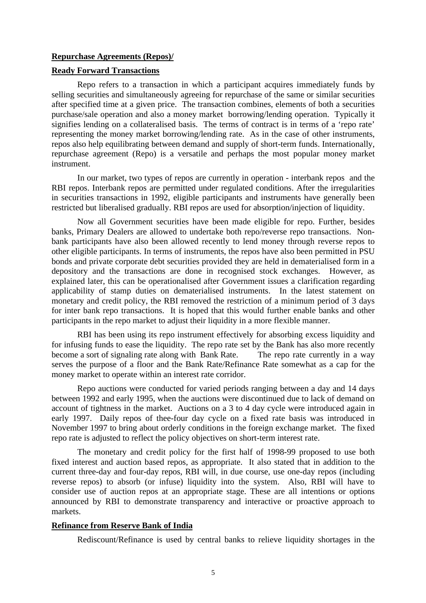### **Repurchase Agreements (Repos)/**

## **Ready Forward Transactions**

Repo refers to a transaction in which a participant acquires immediately funds by selling securities and simultaneously agreeing for repurchase of the same or similar securities after specified time at a given price. The transaction combines, elements of both a securities purchase/sale operation and also a money market borrowing/lending operation. Typically it signifies lending on a collateralised basis. The terms of contract is in terms of a 'repo rate' representing the money market borrowing/lending rate. As in the case of other instruments, repos also help equilibrating between demand and supply of short-term funds. Internationally, repurchase agreement (Repo) is a versatile and perhaps the most popular money market instrument.

In our market, two types of repos are currently in operation - interbank repos and the RBI repos. Interbank repos are permitted under regulated conditions. After the irregularities in securities transactions in 1992, eligible participants and instruments have generally been restricted but liberalised gradually. RBI repos are used for absorption/injection of liquidity.

Now all Government securities have been made eligible for repo. Further, besides banks, Primary Dealers are allowed to undertake both repo/reverse repo transactions. Nonbank participants have also been allowed recently to lend money through reverse repos to other eligible participants. In terms of instruments, the repos have also been permitted in PSU bonds and private corporate debt securities provided they are held in dematerialised form in a depository and the transactions are done in recognised stock exchanges. However, as explained later, this can be operationalised after Government issues a clarification regarding applicability of stamp duties on dematerialised instruments. In the latest statement on monetary and credit policy, the RBI removed the restriction of a minimum period of 3 days for inter bank repo transactions. It is hoped that this would further enable banks and other participants in the repo market to adjust their liquidity in a more flexible manner.

RBI has been using its repo instrument effectively for absorbing excess liquidity and for infusing funds to ease the liquidity. The repo rate set by the Bank has also more recently become a sort of signaling rate along with Bank Rate. The repo rate currently in a way serves the purpose of a floor and the Bank Rate/Refinance Rate somewhat as a cap for the money market to operate within an interest rate corridor.

Repo auctions were conducted for varied periods ranging between a day and 14 days between 1992 and early 1995, when the auctions were discontinued due to lack of demand on account of tightness in the market. Auctions on a 3 to 4 day cycle were introduced again in early 1997. Daily repos of thee-four day cycle on a fixed rate basis was introduced in November 1997 to bring about orderly conditions in the foreign exchange market. The fixed repo rate is adjusted to reflect the policy objectives on short-term interest rate.

The monetary and credit policy for the first half of 1998-99 proposed to use both fixed interest and auction based repos, as appropriate. It also stated that in addition to the current three-day and four-day repos, RBI will, in due course, use one-day repos (including reverse repos) to absorb (or infuse) liquidity into the system. Also, RBI will have to consider use of auction repos at an appropriate stage. These are all intentions or options announced by RBI to demonstrate transparency and interactive or proactive approach to markets.

#### **Refinance from Reserve Bank of India**

Rediscount/Refinance is used by central banks to relieve liquidity shortages in the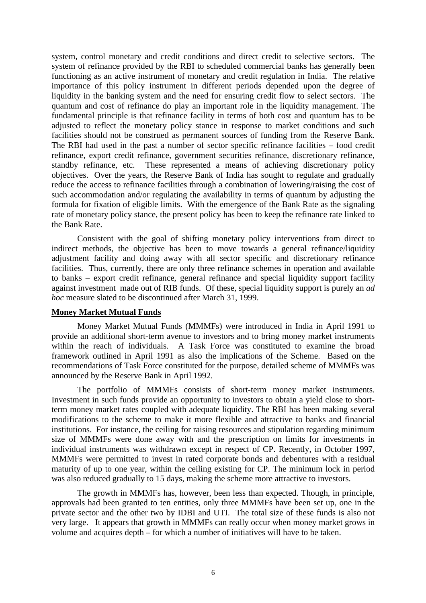system, control monetary and credit conditions and direct credit to selective sectors. The system of refinance provided by the RBI to scheduled commercial banks has generally been functioning as an active instrument of monetary and credit regulation in India. The relative importance of this policy instrument in different periods depended upon the degree of liquidity in the banking system and the need for ensuring credit flow to select sectors. The quantum and cost of refinance do play an important role in the liquidity management. The fundamental principle is that refinance facility in terms of both cost and quantum has to be adjusted to reflect the monetary policy stance in response to market conditions and such facilities should not be construed as permanent sources of funding from the Reserve Bank. The RBI had used in the past a number of sector specific refinance facilities – food credit refinance, export credit refinance, government securities refinance, discretionary refinance, standby refinance, etc. These represented a means of achieving discretionary policy objectives. Over the years, the Reserve Bank of India has sought to regulate and gradually reduce the access to refinance facilities through a combination of lowering/raising the cost of such accommodation and/or regulating the availability in terms of quantum by adjusting the formula for fixation of eligible limits. With the emergence of the Bank Rate as the signaling rate of monetary policy stance, the present policy has been to keep the refinance rate linked to the Bank Rate.

Consistent with the goal of shifting monetary policy interventions from direct to indirect methods, the objective has been to move towards a general refinance/liquidity adjustment facility and doing away with all sector specific and discretionary refinance facilities. Thus, currently, there are only three refinance schemes in operation and available to banks – export credit refinance, general refinance and special liquidity support facility against investment made out of RIB funds. Of these, special liquidity support is purely an *ad hoc* measure slated to be discontinued after March 31, 1999.

### **Money Market Mutual Funds**

Money Market Mutual Funds (MMMFs) were introduced in India in April 1991 to provide an additional short-term avenue to investors and to bring money market instruments within the reach of individuals. A Task Force was constituted to examine the broad framework outlined in April 1991 as also the implications of the Scheme. Based on the recommendations of Task Force constituted for the purpose, detailed scheme of MMMFs was announced by the Reserve Bank in April 1992.

The portfolio of MMMFs consists of short-term money market instruments. Investment in such funds provide an opportunity to investors to obtain a yield close to shortterm money market rates coupled with adequate liquidity. The RBI has been making several modifications to the scheme to make it more flexible and attractive to banks and financial institutions. For instance, the ceiling for raising resources and stipulation regarding minimum size of MMMFs were done away with and the prescription on limits for investments in individual instruments was withdrawn except in respect of CP. Recently, in October 1997, MMMFs were permitted to invest in rated corporate bonds and debentures with a residual maturity of up to one year, within the ceiling existing for CP. The minimum lock in period was also reduced gradually to 15 days, making the scheme more attractive to investors.

The growth in MMMFs has, however, been less than expected. Though, in principle, approvals had been granted to ten entities, only three MMMFs have been set up, one in the private sector and the other two by IDBI and UTI. The total size of these funds is also not very large. It appears that growth in MMMFs can really occur when money market grows in volume and acquires depth – for which a number of initiatives will have to be taken.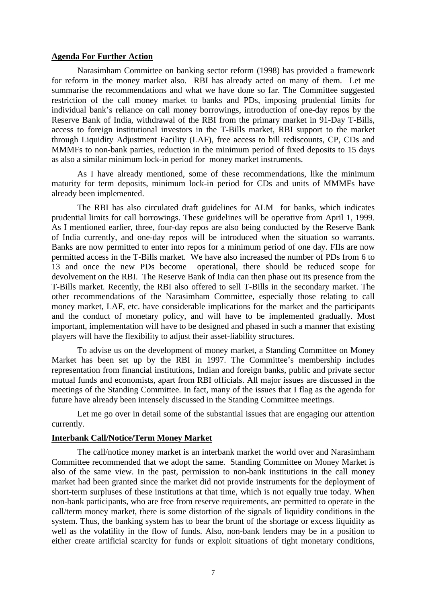### **Agenda For Further Action**

Narasimham Committee on banking sector reform (1998) has provided a framework for reform in the money market also. RBI has already acted on many of them. Let me summarise the recommendations and what we have done so far. The Committee suggested restriction of the call money market to banks and PDs, imposing prudential limits for individual bank's reliance on call money borrowings, introduction of one-day repos by the Reserve Bank of India, withdrawal of the RBI from the primary market in 91-Day T-Bills, access to foreign institutional investors in the T-Bills market, RBI support to the market through Liquidity Adjustment Facility (LAF), free access to bill rediscounts, CP, CDs and MMMFs to non-bank parties, reduction in the minimum period of fixed deposits to 15 days as also a similar minimum lock-in period for money market instruments.

As I have already mentioned, some of these recommendations, like the minimum maturity for term deposits, minimum lock-in period for CDs and units of MMMFs have already been implemented.

The RBI has also circulated draft guidelines for ALM for banks, which indicates prudential limits for call borrowings. These guidelines will be operative from April 1, 1999. As I mentioned earlier, three, four-day repos are also being conducted by the Reserve Bank of India currently, and one-day repos will be introduced when the situation so warrants. Banks are now permitted to enter into repos for a minimum period of one day. FIIs are now permitted access in the T-Bills market. We have also increased the number of PDs from 6 to 13 and once the new PDs become operational, there should be reduced scope for devolvement on the RBI. The Reserve Bank of India can then phase out its presence from the T-Bills market. Recently, the RBI also offered to sell T-Bills in the secondary market. The other recommendations of the Narasimham Committee, especially those relating to call money market, LAF, etc. have considerable implications for the market and the participants and the conduct of monetary policy, and will have to be implemented gradually. Most important, implementation will have to be designed and phased in such a manner that existing players will have the flexibility to adjust their asset-liability structures.

To advise us on the development of money market, a Standing Committee on Money Market has been set up by the RBI in 1997. The Committee's membership includes representation from financial institutions, Indian and foreign banks, public and private sector mutual funds and economists, apart from RBI officials. All major issues are discussed in the meetings of the Standing Committee. In fact, many of the issues that I flag as the agenda for future have already been intensely discussed in the Standing Committee meetings.

Let me go over in detail some of the substantial issues that are engaging our attention currently.

#### **Interbank Call/Notice/Term Money Market**

The call/notice money market is an interbank market the world over and Narasimham Committee recommended that we adopt the same. Standing Committee on Money Market is also of the same view. In the past, permission to non-bank institutions in the call money market had been granted since the market did not provide instruments for the deployment of short-term surpluses of these institutions at that time, which is not equally true today. When non-bank participants, who are free from reserve requirements, are permitted to operate in the call/term money market, there is some distortion of the signals of liquidity conditions in the system. Thus, the banking system has to bear the brunt of the shortage or excess liquidity as well as the volatility in the flow of funds. Also, non-bank lenders may be in a position to either create artificial scarcity for funds or exploit situations of tight monetary conditions,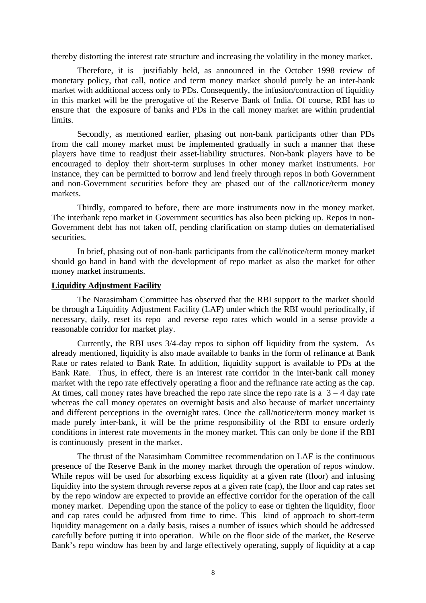thereby distorting the interest rate structure and increasing the volatility in the money market.

Therefore, it is justifiably held, as announced in the October 1998 review of monetary policy, that call, notice and term money market should purely be an inter-bank market with additional access only to PDs. Consequently, the infusion/contraction of liquidity in this market will be the prerogative of the Reserve Bank of India. Of course, RBI has to ensure that the exposure of banks and PDs in the call money market are within prudential limits.

Secondly, as mentioned earlier, phasing out non-bank participants other than PDs from the call money market must be implemented gradually in such a manner that these players have time to readjust their asset-liability structures. Non-bank players have to be encouraged to deploy their short-term surpluses in other money market instruments. For instance, they can be permitted to borrow and lend freely through repos in both Government and non-Government securities before they are phased out of the call/notice/term money markets.

Thirdly, compared to before, there are more instruments now in the money market. The interbank repo market in Government securities has also been picking up. Repos in non-Government debt has not taken off, pending clarification on stamp duties on dematerialised securities.

In brief, phasing out of non-bank participants from the call/notice/term money market should go hand in hand with the development of repo market as also the market for other money market instruments.

### **Liquidity Adjustment Facility**

The Narasimham Committee has observed that the RBI support to the market should be through a Liquidity Adjustment Facility (LAF) under which the RBI would periodically, if necessary, daily, reset its repo and reverse repo rates which would in a sense provide a reasonable corridor for market play.

Currently, the RBI uses 3/4-day repos to siphon off liquidity from the system. As already mentioned, liquidity is also made available to banks in the form of refinance at Bank Rate or rates related to Bank Rate. In addition, liquidity support is available to PDs at the Bank Rate. Thus, in effect, there is an interest rate corridor in the inter-bank call money market with the repo rate effectively operating a floor and the refinance rate acting as the cap. At times, call money rates have breached the repo rate since the repo rate is a  $3 - 4$  day rate whereas the call money operates on overnight basis and also because of market uncertainty and different perceptions in the overnight rates. Once the call/notice/term money market is made purely inter-bank, it will be the prime responsibility of the RBI to ensure orderly conditions in interest rate movements in the money market. This can only be done if the RBI is continuously present in the market.

The thrust of the Narasimham Committee recommendation on LAF is the continuous presence of the Reserve Bank in the money market through the operation of repos window. While repos will be used for absorbing excess liquidity at a given rate (floor) and infusing liquidity into the system through reverse repos at a given rate (cap), the floor and cap rates set by the repo window are expected to provide an effective corridor for the operation of the call money market. Depending upon the stance of the policy to ease or tighten the liquidity, floor and cap rates could be adjusted from time to time. This kind of approach to short-term liquidity management on a daily basis, raises a number of issues which should be addressed carefully before putting it into operation. While on the floor side of the market, the Reserve Bank's repo window has been by and large effectively operating, supply of liquidity at a cap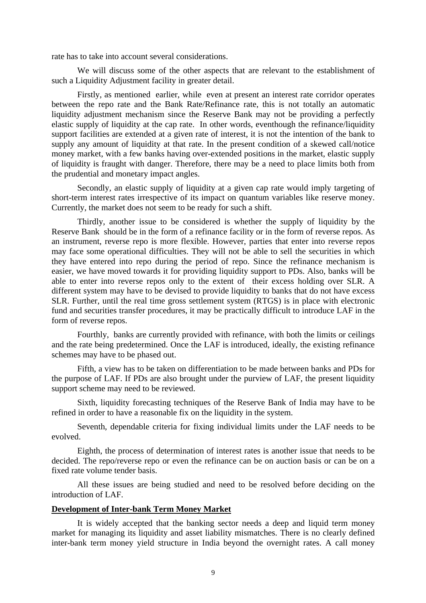rate has to take into account several considerations.

We will discuss some of the other aspects that are relevant to the establishment of such a Liquidity Adjustment facility in greater detail.

Firstly, as mentioned earlier, while even at present an interest rate corridor operates between the repo rate and the Bank Rate/Refinance rate, this is not totally an automatic liquidity adjustment mechanism since the Reserve Bank may not be providing a perfectly elastic supply of liquidity at the cap rate. In other words, eventhough the refinance/liquidity support facilities are extended at a given rate of interest, it is not the intention of the bank to supply any amount of liquidity at that rate. In the present condition of a skewed call/notice money market, with a few banks having over-extended positions in the market, elastic supply of liquidity is fraught with danger. Therefore, there may be a need to place limits both from the prudential and monetary impact angles.

Secondly, an elastic supply of liquidity at a given cap rate would imply targeting of short-term interest rates irrespective of its impact on quantum variables like reserve money. Currently, the market does not seem to be ready for such a shift.

Thirdly, another issue to be considered is whether the supply of liquidity by the Reserve Bank should be in the form of a refinance facility or in the form of reverse repos. As an instrument, reverse repo is more flexible. However, parties that enter into reverse repos may face some operational difficulties. They will not be able to sell the securities in which they have entered into repo during the period of repo. Since the refinance mechanism is easier, we have moved towards it for providing liquidity support to PDs. Also, banks will be able to enter into reverse repos only to the extent of their excess holding over SLR. A different system may have to be devised to provide liquidity to banks that do not have excess SLR. Further, until the real time gross settlement system (RTGS) is in place with electronic fund and securities transfer procedures, it may be practically difficult to introduce LAF in the form of reverse repos.

Fourthly, banks are currently provided with refinance, with both the limits or ceilings and the rate being predetermined. Once the LAF is introduced, ideally, the existing refinance schemes may have to be phased out.

Fifth, a view has to be taken on differentiation to be made between banks and PDs for the purpose of LAF. If PDs are also brought under the purview of LAF, the present liquidity support scheme may need to be reviewed.

Sixth, liquidity forecasting techniques of the Reserve Bank of India may have to be refined in order to have a reasonable fix on the liquidity in the system.

Seventh, dependable criteria for fixing individual limits under the LAF needs to be evolved.

Eighth, the process of determination of interest rates is another issue that needs to be decided. The repo/reverse repo or even the refinance can be on auction basis or can be on a fixed rate volume tender basis.

All these issues are being studied and need to be resolved before deciding on the introduction of LAF.

### **Development of Inter-bank Term Money Market**

It is widely accepted that the banking sector needs a deep and liquid term money market for managing its liquidity and asset liability mismatches. There is no clearly defined inter-bank term money yield structure in India beyond the overnight rates. A call money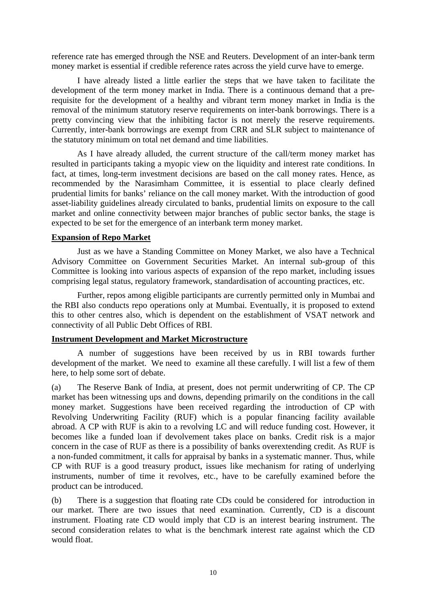reference rate has emerged through the NSE and Reuters. Development of an inter-bank term money market is essential if credible reference rates across the yield curve have to emerge.

I have already listed a little earlier the steps that we have taken to facilitate the development of the term money market in India. There is a continuous demand that a prerequisite for the development of a healthy and vibrant term money market in India is the removal of the minimum statutory reserve requirements on inter-bank borrowings. There is a pretty convincing view that the inhibiting factor is not merely the reserve requirements. Currently, inter-bank borrowings are exempt from CRR and SLR subject to maintenance of the statutory minimum on total net demand and time liabilities.

As I have already alluded, the current structure of the call/term money market has resulted in participants taking a myopic view on the liquidity and interest rate conditions. In fact, at times, long-term investment decisions are based on the call money rates. Hence, as recommended by the Narasimham Committee, it is essential to place clearly defined prudential limits for banks' reliance on the call money market. With the introduction of good asset-liability guidelines already circulated to banks, prudential limits on exposure to the call market and online connectivity between major branches of public sector banks, the stage is expected to be set for the emergence of an interbank term money market.

## **Expansion of Repo Market**

Just as we have a Standing Committee on Money Market, we also have a Technical Advisory Committee on Government Securities Market. An internal sub-group of this Committee is looking into various aspects of expansion of the repo market, including issues comprising legal status, regulatory framework, standardisation of accounting practices, etc.

Further, repos among eligible participants are currently permitted only in Mumbai and the RBI also conducts repo operations only at Mumbai. Eventually, it is proposed to extend this to other centres also, which is dependent on the establishment of VSAT network and connectivity of all Public Debt Offices of RBI.

# **Instrument Development and Market Microstructure**

A number of suggestions have been received by us in RBI towards further development of the market. We need to examine all these carefully. I will list a few of them here, to help some sort of debate.

(a) The Reserve Bank of India, at present, does not permit underwriting of CP. The CP market has been witnessing ups and downs, depending primarily on the conditions in the call money market. Suggestions have been received regarding the introduction of CP with Revolving Underwriting Facility (RUF) which is a popular financing facility available abroad. A CP with RUF is akin to a revolving LC and will reduce funding cost. However, it becomes like a funded loan if devolvement takes place on banks. Credit risk is a major concern in the case of RUF as there is a possibility of banks overextending credit. As RUF is a non-funded commitment, it calls for appraisal by banks in a systematic manner. Thus, while CP with RUF is a good treasury product, issues like mechanism for rating of underlying instruments, number of time it revolves, etc., have to be carefully examined before the product can be introduced.

(b) There is a suggestion that floating rate CDs could be considered for introduction in our market. There are two issues that need examination. Currently, CD is a discount instrument. Floating rate CD would imply that CD is an interest bearing instrument. The second consideration relates to what is the benchmark interest rate against which the CD would float.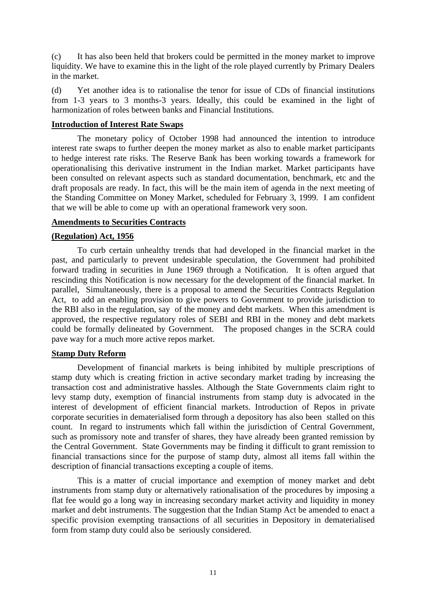(c) It has also been held that brokers could be permitted in the money market to improve liquidity. We have to examine this in the light of the role played currently by Primary Dealers in the market.

(d) Yet another idea is to rationalise the tenor for issue of CDs of financial institutions from 1-3 years to 3 months-3 years. Ideally, this could be examined in the light of harmonization of roles between banks and Financial Institutions.

## **Introduction of Interest Rate Swaps**

The monetary policy of October 1998 had announced the intention to introduce interest rate swaps to further deepen the money market as also to enable market participants to hedge interest rate risks. The Reserve Bank has been working towards a framework for operationalising this derivative instrument in the Indian market. Market participants have been consulted on relevant aspects such as standard documentation, benchmark, etc and the draft proposals are ready. In fact, this will be the main item of agenda in the next meeting of the Standing Committee on Money Market, scheduled for February 3, 1999. I am confident that we will be able to come up with an operational framework very soon.

## **Amendments to Securities Contracts**

# **(Regulation) Act, 1956**

To curb certain unhealthy trends that had developed in the financial market in the past, and particularly to prevent undesirable speculation, the Government had prohibited forward trading in securities in June 1969 through a Notification. It is often argued that rescinding this Notification is now necessary for the development of the financial market. In parallel, Simultaneously, there is a proposal to amend the Securities Contracts Regulation Act, to add an enabling provision to give powers to Government to provide jurisdiction to the RBI also in the regulation, say of the money and debt markets. When this amendment is approved, the respective regulatory roles of SEBI and RBI in the money and debt markets could be formally delineated by Government. The proposed changes in the SCRA could pave way for a much more active repos market.

### **Stamp Duty Reform**

Development of financial markets is being inhibited by multiple prescriptions of stamp duty which is creating friction in active secondary market trading by increasing the transaction cost and administrative hassles. Although the State Governments claim right to levy stamp duty, exemption of financial instruments from stamp duty is advocated in the interest of development of efficient financial markets. Introduction of Repos in private corporate securities in dematerialised form through a depository has also been stalled on this count. In regard to instruments which fall within the jurisdiction of Central Government, such as promissory note and transfer of shares, they have already been granted remission by the Central Government. State Governments may be finding it difficult to grant remission to financial transactions since for the purpose of stamp duty, almost all items fall within the description of financial transactions excepting a couple of items.

This is a matter of crucial importance and exemption of money market and debt instruments from stamp duty or alternatively rationalisation of the procedures by imposing a flat fee would go a long way in increasing secondary market activity and liquidity in money market and debt instruments. The suggestion that the Indian Stamp Act be amended to enact a specific provision exempting transactions of all securities in Depository in dematerialised form from stamp duty could also be seriously considered.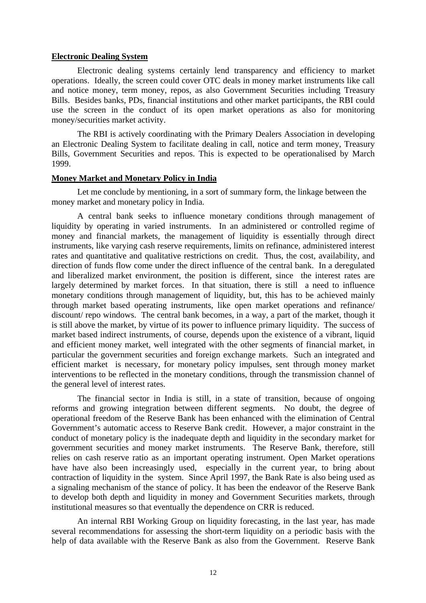#### **Electronic Dealing System**

Electronic dealing systems certainly lend transparency and efficiency to market operations. Ideally, the screen could cover OTC deals in money market instruments like call and notice money, term money, repos, as also Government Securities including Treasury Bills. Besides banks, PDs, financial institutions and other market participants, the RBI could use the screen in the conduct of its open market operations as also for monitoring money/securities market activity.

The RBI is actively coordinating with the Primary Dealers Association in developing an Electronic Dealing System to facilitate dealing in call, notice and term money, Treasury Bills, Government Securities and repos. This is expected to be operationalised by March 1999.

#### **Money Market and Monetary Policy in India**

Let me conclude by mentioning, in a sort of summary form, the linkage between the money market and monetary policy in India.

A central bank seeks to influence monetary conditions through management of liquidity by operating in varied instruments. In an administered or controlled regime of money and financial markets, the management of liquidity is essentially through direct instruments, like varying cash reserve requirements, limits on refinance, administered interest rates and quantitative and qualitative restrictions on credit. Thus, the cost, availability, and direction of funds flow come under the direct influence of the central bank. In a deregulated and liberalized market environment, the position is different, since the interest rates are largely determined by market forces. In that situation, there is still a need to influence monetary conditions through management of liquidity, but, this has to be achieved mainly through market based operating instruments, like open market operations and refinance/ discount/ repo windows. The central bank becomes, in a way, a part of the market, though it is still above the market, by virtue of its power to influence primary liquidity. The success of market based indirect instruments, of course, depends upon the existence of a vibrant, liquid and efficient money market, well integrated with the other segments of financial market, in particular the government securities and foreign exchange markets. Such an integrated and efficient market is necessary, for monetary policy impulses, sent through money market interventions to be reflected in the monetary conditions, through the transmission channel of the general level of interest rates.

The financial sector in India is still, in a state of transition, because of ongoing reforms and growing integration between different segments. No doubt, the degree of operational freedom of the Reserve Bank has been enhanced with the elimination of Central Government's automatic access to Reserve Bank credit. However, a major constraint in the conduct of monetary policy is the inadequate depth and liquidity in the secondary market for government securities and money market instruments. The Reserve Bank, therefore, still relies on cash reserve ratio as an important operating instrument. Open Market operations have have also been increasingly used, especially in the current year, to bring about contraction of liquidity in the system. Since April 1997, the Bank Rate is also being used as a signaling mechanism of the stance of policy. It has been the endeavor of the Reserve Bank to develop both depth and liquidity in money and Government Securities markets, through institutional measures so that eventually the dependence on CRR is reduced.

An internal RBI Working Group on liquidity forecasting, in the last year, has made several recommendations for assessing the short-term liquidity on a periodic basis with the help of data available with the Reserve Bank as also from the Government. Reserve Bank